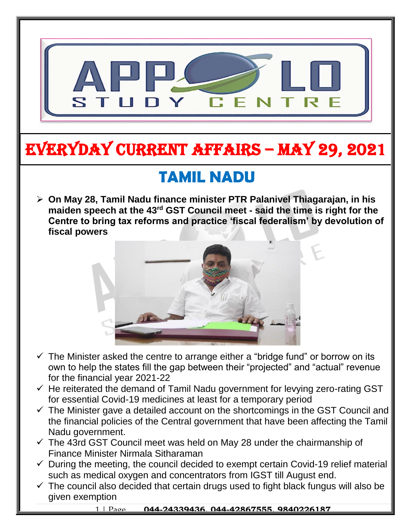

# EVERYDAY CURRENT AFFAIRS – MAY 29, 2021

## **TAMIL NADU**

-

 **On May 28, Tamil Nadu finance minister PTR Palanivel Thiagarajan, in his maiden speech at the 43rd GST Council meet - said the time is right for the Centre to bring tax reforms and practice 'fiscal federalism' by devolution of fiscal powers**



- $\checkmark$  The Minister asked the centre to arrange either a "bridge fund" or borrow on its own to help the states fill the gap between their "projected" and "actual" revenue for the financial year 2021-22
- $\checkmark$  He reiterated the demand of Tamil Nadu government for levying zero-rating GST for essential Covid-19 medicines at least for a temporary period
- $\checkmark$  The Minister gave a detailed account on the shortcomings in the GST Council and the financial policies of the Central government that have been affecting the Tamil Nadu government.
- $\checkmark$  The 43rd GST Council meet was held on May 28 under the chairmanship of Finance Minister Nirmala Sitharaman
- $\checkmark$  During the meeting, the council decided to exempt certain Covid-19 relief material such as medical oxygen and concentrators from IGST till August end.
- $\checkmark$  The council also decided that certain drugs used to fight black fungus will also be given exemption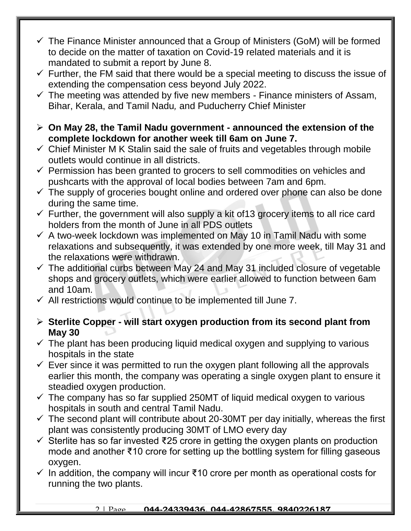- $\checkmark$  The Finance Minister announced that a Group of Ministers (GoM) will be formed to decide on the matter of taxation on Covid-19 related materials and it is mandated to submit a report by June 8.
- $\checkmark$  Further, the FM said that there would be a special meeting to discuss the issue of extending the compensation cess beyond July 2022.
- $\checkmark$  The meeting was attended by five new members Finance ministers of Assam, Bihar, Kerala, and Tamil Nadu*,* and Puducherry Chief Minister
- **On May 28, the Tamil Nadu government - announced the extension of the complete lockdown for another week till 6am on June 7.**
- $\checkmark$  Chief Minister M K Stalin said the sale of fruits and vegetables through mobile outlets would continue in all districts.
- $\checkmark$  Permission has been granted to grocers to sell commodities on vehicles and pushcarts with the approval of local bodies between 7am and 6pm.
- $\checkmark$  The supply of groceries bought online and ordered over phone can also be done during the same time.
- $\checkmark$  Further, the government will also supply a kit of 13 grocery items to all rice card holders from the month of June in all PDS outlets
- $\checkmark$  A two-week lockdown was implemented on May 10 in Tamil Nadu with some relaxations and subsequently, it was extended by one more week, till May 31 and the relaxations were withdrawn.
- $\checkmark$  The additional curbs between May 24 and May 31 included closure of vegetable shops and grocery outlets, which were earlier allowed to function between 6am and 10am.
- $\checkmark$  All restrictions would continue to be implemented till June 7.
- **Sterlite Copper - will start oxygen production from its second plant from May 30**
- $\checkmark$  The plant has been producing liquid medical oxygen and supplying to various hospitals in the state
- $\checkmark$  Ever since it was permitted to run the oxygen plant following all the approvals earlier this month, the company was operating a single oxygen plant to ensure it steadied oxygen production.
- $\checkmark$  The company has so far supplied 250MT of liquid medical oxygen to various hospitals in south and central Tamil Nadu.
- $\checkmark$  The second plant will contribute about 20-30MT per day initially, whereas the first plant was consistently producing 30MT of LMO every day
- Sterlite has so far invested ₹25 crore in getting the oxygen plants on production mode and another ₹10 crore for setting up the bottling system for filling gaseous oxygen.
- $\checkmark$  In addition, the company will incur ₹10 crore per month as operational costs for running the two plants.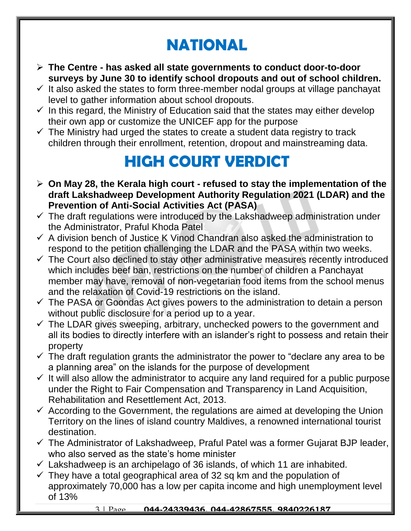## **NATIONAL**

- **The Centre - has asked all state governments to conduct door-to-door surveys by June 30 to identify school dropouts and out of school children.**
- $\checkmark$  It also asked the states to form three-member nodal groups at village panchayat level to gather information about school dropouts.
- $\checkmark$  In this regard, the Ministry of Education said that the states may either develop their own app or customize the UNICEF app for the purpose
- $\checkmark$  The Ministry had urged the states to create a student data registry to track children through their enrollment, retention, dropout and mainstreaming data.

### **HIGH COURT VERDICT**

- **On May 28, the Kerala high court - refused to stay the implementation of the draft Lakshadweep Development Authority Regulation 2021 (LDAR) and the Prevention of Anti-Social Activities Act (PASA)**
- $\checkmark$  The draft regulations were introduced by the Lakshadweep administration under the Administrator, Praful Khoda Patel
- $\checkmark$  A division bench of Justice K Vinod Chandran also asked the administration to respond to the petition challenging the LDAR and the PASA within two weeks.
- $\checkmark$  The Court also declined to stay other administrative measures recently introduced which includes beef ban, restrictions on the number of children a Panchayat member may have, removal of non-vegetarian food items from the school menus and the relaxation of Covid-19 restrictions on the island.
- $\checkmark$  The PASA or Goondas Act gives powers to the administration to detain a person without public disclosure for a period up to a year.
- $\checkmark$  The LDAR gives sweeping, arbitrary, unchecked powers to the government and all its bodies to directly interfere with an islander's right to possess and retain their property
- $\checkmark$  The draft regulation grants the administrator the power to "declare any area to be a planning area" on the islands for the purpose of development
- $\checkmark$  It will also allow the administrator to acquire any land required for a public purpose under the Right to Fair Compensation and Transparency in Land Acquisition, Rehabilitation and Resettlement Act, 2013.
- $\checkmark$  According to the Government, the regulations are aimed at developing the Union Territory on the lines of island country Maldives, a renowned international tourist destination.
- $\checkmark$  The Administrator of Lakshadweep, Praful Patel was a former Gujarat BJP leader, who also served as the state's home minister
- $\checkmark$  Lakshadweep is an archipelago of 36 islands, of which 11 are inhabited.
- $\checkmark$  They have a total geographical area of 32 sq km and the population of approximately 70,000 has a low per capita income and high unemployment level of 13%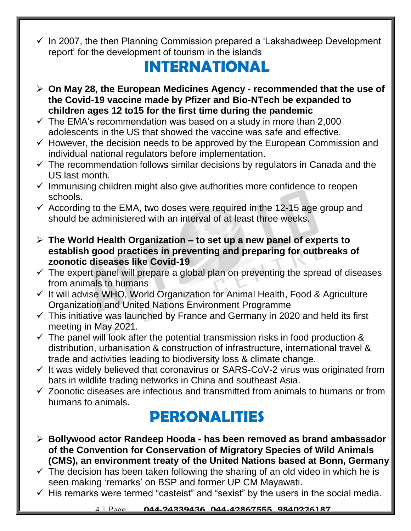$\checkmark$  In 2007, the then Planning Commission prepared a 'Lakshadweep Development report' for the development of tourism in the islands

#### **INTERNATIONAL**

- **On May 28, the European Medicines Agency - recommended that the use of the Covid-19 vaccine made by Pfizer and Bio-NTech be expanded to children ages 12 to15 for the first time during the pandemic**
- $\checkmark$  The EMA's recommendation was based on a study in more than 2,000 adolescents in the US that showed the vaccine was safe and effective.
- $\checkmark$  However, the decision needs to be approved by the European Commission and individual national regulators before implementation.
- $\checkmark$  The recommendation follows similar decisions by regulators in Canada and the US last month.
- $\checkmark$  Immunising children might also give authorities more confidence to reopen schools.
- $\checkmark$  According to the EMA, two doses were required in the 12-15 age group and should be administered with an interval of at least three weeks.
- **The World Health Organization – to set up a new panel of experts to establish good practices in preventing and preparing for outbreaks of zoonotic diseases like Covid-19**
- $\checkmark$  The expert panel will prepare a global plan on preventing the spread of diseases from animals to humans
- $\checkmark$  It will advise WHO, World Organization for Animal Health, Food & Agriculture Organization and United Nations Environment Programme
- $\checkmark$  This initiative was launched by France and Germany in 2020 and held its first meeting in May 2021.
- $\checkmark$  The panel will look after the potential transmission risks in food production & distribution, urbanisation & construction of infrastructure, international travel & trade and activities leading to biodiversity loss & climate change.
- $\checkmark$  It was widely believed that coronavirus or SARS-CoV-2 virus was originated from bats in wildlife trading networks in China and southeast Asia.
- $\checkmark$  Zoonotic diseases are infectious and transmitted from animals to humans or from humans to animals.

#### **PERSONALITIES**

- **Bollywood actor Randeep Hooda - has been removed as brand ambassador of the Convention for Conservation of Migratory Species of Wild Animals (CMS), an environment treaty of the United Nations based at Bonn, Germany**
- $\checkmark$  The decision has been taken following the sharing of an old video in which he is seen making 'remarks' on BSP and former UP CM Mayawati.
- $\checkmark$  His remarks were termed "casteist" and "sexist" by the users in the social media.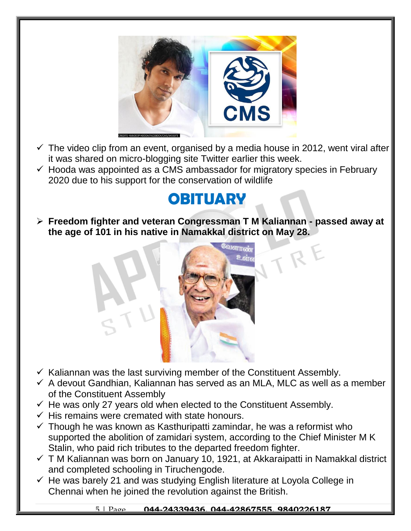

- $\checkmark$  The video clip from an event, organised by a media house in 2012, went viral after it was shared on micro-blogging site Twitter earlier this week.
- $\checkmark$  Hooda was appointed as a CMS ambassador for migratory species in February 2020 due to his support for the conservation of wildlife

#### **OBITUARY**

 **Freedom fighter and veteran Congressman T M Kaliannan - passed away at the age of 101 in his native in Namakkal district on May 28.**



- $\checkmark$  Kaliannan was the last surviving member of the Constituent Assembly.
- $\checkmark$  A devout Gandhian, Kaliannan has served as an MLA, MLC as well as a member of the Constituent Assembly
- $\checkmark$  He was only 27 years old when elected to the Constituent Assembly.
- $\checkmark$  His remains were cremated with state honours.
- $\checkmark$  Though he was known as Kasthuripatti zamindar, he was a reformist who supported the abolition of zamidari system, according to the Chief Minister M K Stalin, who paid rich tributes to the departed freedom fighter.
- $\checkmark$  T M Kaliannan was born on January 10, 1921, at Akkaraipatti in Namakkal district and completed schooling in Tiruchengode.
- $\checkmark$  He was barely 21 and was studying English literature at Loyola College in Chennai when he joined the revolution against the British.